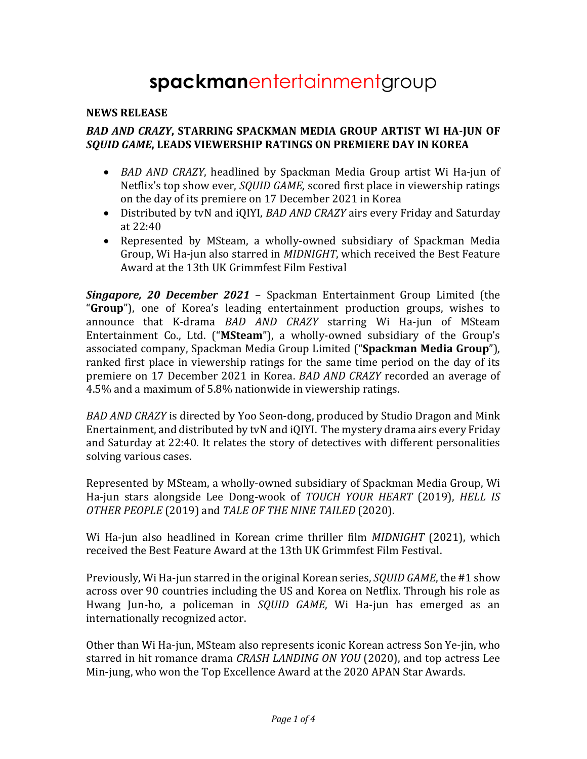# **spackman**entertainmentgroup

## **NEWS RELEASE**

## **BAD AND CRAZY, STARRING SPACKMAN MEDIA GROUP ARTIST WI HA-JUN OF** *SQUID GAME***, LEADS VIEWERSHIP RATINGS ON PREMIERE DAY IN KOREA**

- *BAD AND CRAZY*, headlined by Spackman Media Group artist Wi Ha-jun of Netflix's top show ever, *SOUID GAME*, scored first place in viewership ratings on the day of its premiere on 17 December 2021 in Korea
- Distributed by tvN and iQIYI, *BAD AND CRAZY* airs every Friday and Saturday at 22:40
- Represented by MSteam, a wholly-owned subsidiary of Spackman Media Group, Wi Ha-jun also starred in *MIDNIGHT*, which received the Best Feature Award at the 13th UK Grimmfest Film Festival

**Singapore, 20 December 2021** – Spackman Entertainment Group Limited (the "**Group**"), one of Korea's leading entertainment production groups, wishes to announce that K-drama *BAD AND CRAZY* starring Wi Ha-jun of MSteam Entertainment Co., Ltd. ("MSteam"), a wholly-owned subsidiary of the Group's associated company, Spackman Media Group Limited ("Spackman Media Group"), ranked first place in viewership ratings for the same time period on the day of its premiere on 17 December 2021 in Korea. *BAD AND CRAZY* recorded an average of 4.5% and a maximum of 5.8% nationwide in viewership ratings.

*BAD AND CRAZY* is directed by Yoo Seon-dong, produced by Studio Dragon and Mink Enertainment, and distributed by tyN and iOIYI. The mystery drama airs every Friday and Saturday at 22:40. It relates the story of detectives with different personalities solving various cases.

Represented by MSteam, a wholly-owned subsidiary of Spackman Media Group, Wi Ha-jun stars alongside Lee Dong-wook of TOUCH YOUR HEART (2019), HELL IS *OTHER PEOPLE* (2019) and *TALE OF THE NINE TAILED* (2020).

Wi Ha-jun also headlined in Korean crime thriller film *MIDNIGHT* (2021), which received the Best Feature Award at the 13th UK Grimmfest Film Festival.

Previously, Wi Ha-jun starred in the original Korean series, *SQUID GAME*, the #1 show across over 90 countries including the US and Korea on Netflix. Through his role as Hwang Jun-ho, a policeman in *SQUID GAME*, Wi Ha-jun has emerged as an internationally recognized actor.

Other than Wi Ha-jun, MSteam also represents iconic Korean actress Son Ye-jin, who starred in hit romance drama *CRASH LANDING ON YOU* (2020), and top actress Lee Min-jung, who won the Top Excellence Award at the 2020 APAN Star Awards.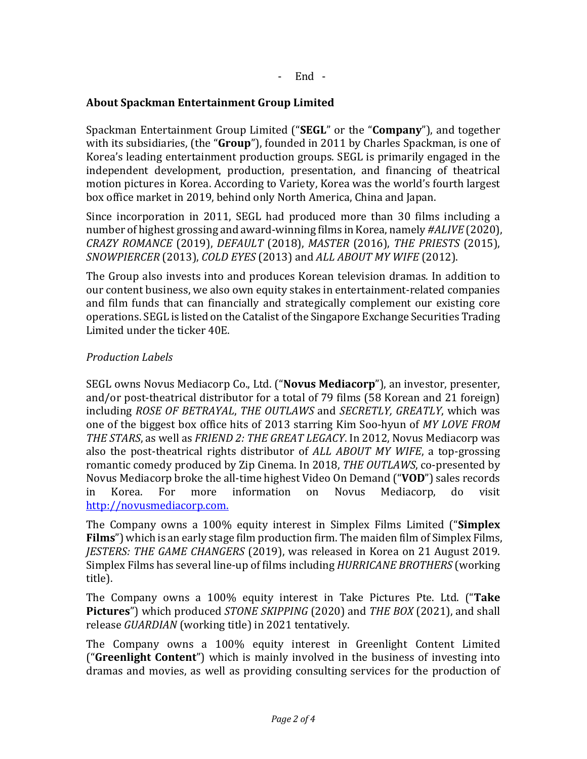## **About Spackman Entertainment Group Limited**

Spackman Entertainment Group Limited ("SEGL" or the "Company"), and together with its subsidiaries, (the "**Group**"), founded in 2011 by Charles Spackman, is one of Korea's leading entertainment production groups. SEGL is primarily engaged in the independent development, production, presentation, and financing of theatrical motion pictures in Korea. According to Variety, Korea was the world's fourth largest box office market in 2019, behind only North America, China and Japan.

Since incorporation in 2011, SEGL had produced more than 30 films including a number of highest grossing and award-winning films in Korea, namely #ALIVE (2020), *CRAZY ROMANCE* (2019), *DEFAULT* (2018), *MASTER* (2016), *THE PRIESTS* (2015), *SNOWPIERCER* (2013), *COLD EYES* (2013) and *ALL ABOUT MY WIFE* (2012).

The Group also invests into and produces Korean television dramas. In addition to our content business, we also own equity stakes in entertainment-related companies and film funds that can financially and strategically complement our existing core operations. SEGL is listed on the Catalist of the Singapore Exchange Securities Trading Limited under the ticker 40E.

## *Production Labels*

SEGL owns Novus Mediacorp Co., Ltd. ("Novus Mediacorp"), an investor, presenter, and/or post-theatrical distributor for a total of 79 films  $(58$  Korean and 21 foreign) including *ROSE OF BETRAYAL, THE OUTLAWS* and *SECRETLY, GREATLY*, which was one of the biggest box office hits of 2013 starring Kim Soo-hyun of MY LOVE FROM *THE STARS*, as well as *FRIEND 2: THE GREAT LEGACY*. In 2012, Novus Mediacorp was also the post-theatrical rights distributor of *ALL ABOUT MY WIFE*, a top-grossing romantic comedy produced by Zip Cinema. In 2018, *THE OUTLAWS*, co-presented by Novus Mediacorp broke the all-time highest Video On Demand ("**VOD**") sales records in Korea. For more information on Novus Mediacorp, do visit http://novusmediacorp.com. 

The Company owns a 100% equity interest in Simplex Films Limited ("**Simplex Films**") which is an early stage film production firm. The maiden film of Simplex Films, *JESTERS: THE GAME CHANGERS* (2019), was released in Korea on 21 August 2019. Simplex Films has several line-up of films including *HURRICANE BROTHERS* (working title).

The Company owns a 100% equity interest in Take Pictures Pte. Ltd. ("Take **Pictures**") which produced *STONE SKIPPING* (2020) and *THE BOX* (2021), and shall release *GUARDIAN* (working title) in 2021 tentatively.

The Company owns a 100% equity interest in Greenlight Content Limited ("Greenlight Content") which is mainly involved in the business of investing into dramas and movies, as well as providing consulting services for the production of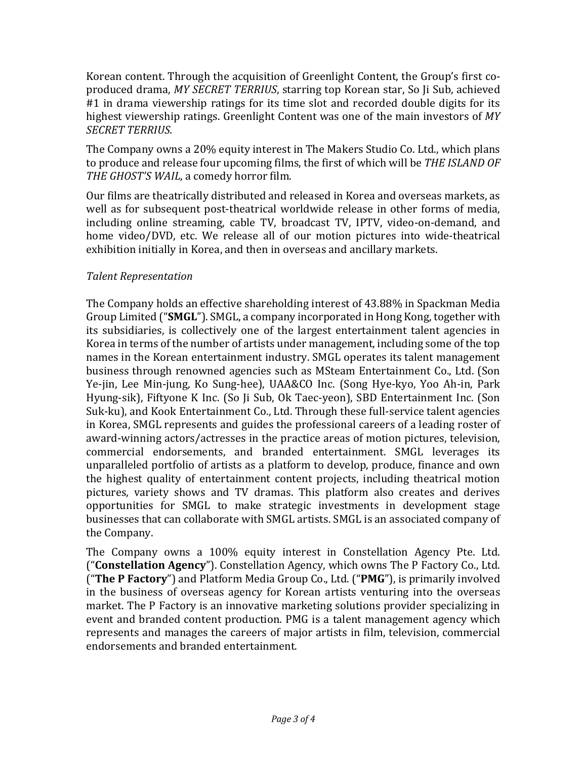Korean content. Through the acquisition of Greenlight Content, the Group's first coproduced drama, MY SECRET TERRIUS, starring top Korean star, So Ji Sub, achieved #1 in drama viewership ratings for its time slot and recorded double digits for its highest viewership ratings. Greenlight Content was one of the main investors of MY *SECRET TERRIUS.*

The Company owns a 20% equity interest in The Makers Studio Co. Ltd., which plans to produce and release four upcoming films, the first of which will be *THE ISLAND OF* THE GHOST'S WAIL, a comedy horror film.

Our films are theatrically distributed and released in Korea and overseas markets, as well as for subsequent post-theatrical worldwide release in other forms of media, including online streaming, cable TV, broadcast TV, IPTV, video-on-demand, and home video/DVD, etc. We release all of our motion pictures into wide-theatrical exhibition initially in Korea, and then in overseas and ancillary markets.

## *Talent Representation*

The Company holds an effective shareholding interest of 43.88% in Spackman Media Group Limited ("SMGL"). SMGL, a company incorporated in Hong Kong, together with its subsidiaries, is collectively one of the largest entertainment talent agencies in Korea in terms of the number of artists under management, including some of the top names in the Korean entertainment industry. SMGL operates its talent management business through renowned agencies such as MSteam Entertainment Co., Ltd. (Son Ye-jin, Lee Min-jung, Ko Sung-hee), UAA&CO Inc. (Song Hye-kyo, Yoo Ah-in, Park Hyung-sik), Fiftyone K Inc. (So Ji Sub, Ok Taec-yeon), SBD Entertainment Inc. (Son Suk-ku), and Kook Entertainment Co., Ltd. Through these full-service talent agencies in Korea, SMGL represents and guides the professional careers of a leading roster of award-winning actors/actresses in the practice areas of motion pictures, television, commercial endorsements, and branded entertainment. SMGL leverages its unparalleled portfolio of artists as a platform to develop, produce, finance and own the highest quality of entertainment content projects, including theatrical motion pictures, variety shows and TV dramas. This platform also creates and derives opportunities for SMGL to make strategic investments in development stage businesses that can collaborate with SMGL artists. SMGL is an associated company of the Company.

The Company owns a 100% equity interest in Constellation Agency Pte. Ltd. ("Constellation Agency"). Constellation Agency, which owns The P Factory Co., Ltd. ("The P Factory") and Platform Media Group Co., Ltd. ("PMG"), is primarily involved in the business of overseas agency for Korean artists venturing into the overseas market. The P Factory is an innovative marketing solutions provider specializing in event and branded content production. PMG is a talent management agency which represents and manages the careers of major artists in film, television, commercial endorsements and branded entertainment.